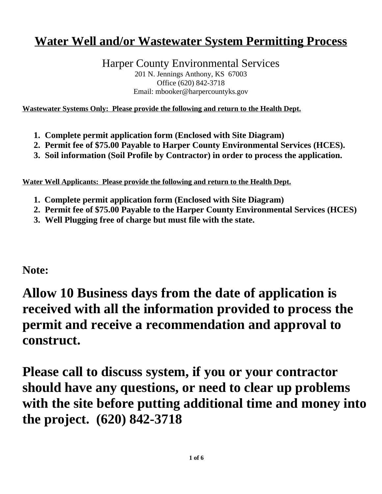# **Water Well and/or Wastewater System Permitting Process**

Harper County Environmental Services 201 N. Jennings Anthony, KS 67003 Office (620) 842-3718

Email: mbooker@harpercountyks.gov

**Wastewater Systems Only: Please provide the following and return to the Health Dept.**

- **1. Complete permit application form (Enclosed with Site Diagram)**
- **2. Permit fee of \$75.00 Payable to Harper County Environmental Services (HCES).**
- **3. Soil information (Soil Profile by Contractor) in order to process the application.**

**Water Well Applicants: Please provide the following and return to the Health Dept.**

- **1. Complete permit application form (Enclosed with Site Diagram)**
- **2. Permit fee of \$75.00 Payable to the Harper County Environmental Services (HCES)**
- **3. Well Plugging free of charge but must file with the state.**

**Note:**

# **Allow 10 Business days from the date of application is received with all the information provided to process the permit and receive a recommendation and approval to construct.**

**Please call to discuss system, if you or your contractor should have any questions, or need to clear up problems with the site before putting additional time and money into the project. (620) 842-3718**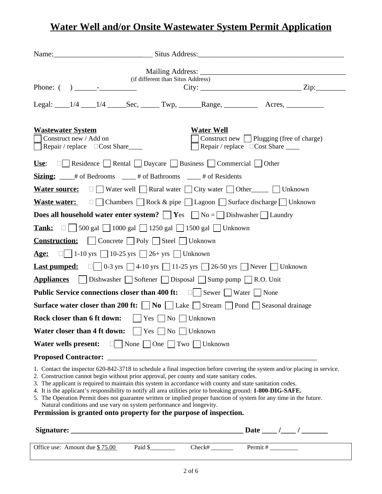## **Water Well and/or Onsite Wastewater System Permit Application**

| Name: Situs Address: Situs Address:                                                                                                                                                                                                                                                                                                                                                                                                                                                                                                                                                                                                                                                                                          |                                                                                       |
|------------------------------------------------------------------------------------------------------------------------------------------------------------------------------------------------------------------------------------------------------------------------------------------------------------------------------------------------------------------------------------------------------------------------------------------------------------------------------------------------------------------------------------------------------------------------------------------------------------------------------------------------------------------------------------------------------------------------------|---------------------------------------------------------------------------------------|
| (if different than Situs Address)<br>Phone: $\begin{pmatrix} 1 & 1 \\ 1 & 1 \end{pmatrix}$                                                                                                                                                                                                                                                                                                                                                                                                                                                                                                                                                                                                                                   | $City:$ $Zip:$                                                                        |
| Legal: 1/4 1/4 Sec, Twp, Range, Acres,                                                                                                                                                                                                                                                                                                                                                                                                                                                                                                                                                                                                                                                                                       |                                                                                       |
| <b>Wastewater System</b><br><b>Water Well</b><br>Construct new / Add on<br>$\vert$ Repair / replace $\Box$ Cost Share                                                                                                                                                                                                                                                                                                                                                                                                                                                                                                                                                                                                        | Construct new Plugging (free of charge)<br>Repair / replace $\Box$ Cost Share _______ |
| <b>Use:</b> $\Box$ Residence Rental Daycare Business Commercial Other                                                                                                                                                                                                                                                                                                                                                                                                                                                                                                                                                                                                                                                        |                                                                                       |
| <b>Sizing:</b> $\frac{4}{5}$ # of Bedrooms $\frac{4}{5}$ # of Bathrooms $\frac{4}{5}$ # of Residents                                                                                                                                                                                                                                                                                                                                                                                                                                                                                                                                                                                                                         |                                                                                       |
| <b>Water source:</b> $\Box$ Water well Rural water City water Other Cultum Unknown                                                                                                                                                                                                                                                                                                                                                                                                                                                                                                                                                                                                                                           |                                                                                       |
| <b>Waste water:</b> $\Box$ Chambers $\Box$ Rock & pipe $\Box$ Lagoon $\Box$ Surface discharge $\Box$ Unknown                                                                                                                                                                                                                                                                                                                                                                                                                                                                                                                                                                                                                 |                                                                                       |
| <b>Does all household water enter system?</b> $\vert \vert$ <b>Y</b> es $\vert \vert$ No = $\vert \vert$ Dishwasher $\vert \vert$ Laundry                                                                                                                                                                                                                                                                                                                                                                                                                                                                                                                                                                                    |                                                                                       |
| <b>Tank:</b> $\Box$ 500 gal $\Box$ 1000 gal $\Box$ 1250 gal $\Box$ 1500 gal $\Box$ Unknown                                                                                                                                                                                                                                                                                                                                                                                                                                                                                                                                                                                                                                   |                                                                                       |
| <b>Construction:</b>   Concrete $\Box$ Poly $\Box$ Steel $\Box$ Unknown                                                                                                                                                                                                                                                                                                                                                                                                                                                                                                                                                                                                                                                      |                                                                                       |
| <b>Age:</b> $\Box$ 1-10 yrs $\Box$ 10-25 yrs $\Box$ 26+ yrs $\Box$ Unknown                                                                                                                                                                                                                                                                                                                                                                                                                                                                                                                                                                                                                                                   |                                                                                       |
| <b>Last pumped:</b> $\Box$ $\Box$ 0-3 yrs $\Box$ 4-10 yrs $\Box$ 11-25 yrs $\Box$ 26-50 yrs $\Box$ Never $\Box$ Unknown                                                                                                                                                                                                                                                                                                                                                                                                                                                                                                                                                                                                      |                                                                                       |
| <b>Appliances</b>   Dishwasher Softener Disposal Sump pump R.O. Unit                                                                                                                                                                                                                                                                                                                                                                                                                                                                                                                                                                                                                                                         |                                                                                       |
| <b>Public Service connections closer than 400 ft:</b> $\Box$ Sewer $\Box$ Water $\Box$ None                                                                                                                                                                                                                                                                                                                                                                                                                                                                                                                                                                                                                                  |                                                                                       |
| <b>Surface water closer than 200 ft:</b> $\Box$ <b>No</b> $\Box$ Lake $\Box$ Stream $\Box$ Pond $\Box$ Seasonal drainage                                                                                                                                                                                                                                                                                                                                                                                                                                                                                                                                                                                                     |                                                                                       |
| <b>Rock closer than 6 ft down:</b> $ $   Yes $\Box$ No $\Box$ Unknown                                                                                                                                                                                                                                                                                                                                                                                                                                                                                                                                                                                                                                                        |                                                                                       |
| <b>Water closer than 4 ft down:</b> $\vert \vert$ Yes $\vert \vert$ No $\vert \vert$ Unknown                                                                                                                                                                                                                                                                                                                                                                                                                                                                                                                                                                                                                                 |                                                                                       |
| Water wells present: $\Box$ None $\Box$ One $\Box$ Two $\Box$ Unknown                                                                                                                                                                                                                                                                                                                                                                                                                                                                                                                                                                                                                                                        |                                                                                       |
|                                                                                                                                                                                                                                                                                                                                                                                                                                                                                                                                                                                                                                                                                                                              |                                                                                       |
| 1. Contact the inspector 620-842-3718 to schedule a final inspection before covering the system and/or placing in service.<br>2. Construction cannot begin without prior approval, per county and state sanitary codes.<br>3. The applicant is required to maintain this system in accordance with county and state sanitation codes.<br>4. It is the applicant's responsibility to notify all area utilities prior to breaking ground: 1-800-DIG-SAFE.<br>5. The Operation Permit does not guarantee written or implied proper function of system for any time in the future.<br>Natural conditions and use vary on system performance and longevity.<br>Permission is granted onto property for the purpose of inspection. |                                                                                       |
|                                                                                                                                                                                                                                                                                                                                                                                                                                                                                                                                                                                                                                                                                                                              |                                                                                       |

| Office use: Amount due \$75.00 | Paid \$ | ~heck# | Permit # |
|--------------------------------|---------|--------|----------|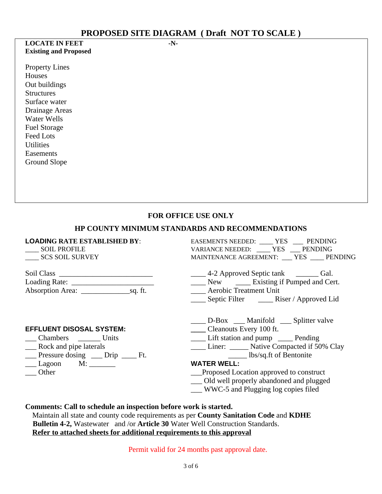#### **LOCATE IN FEET -N-Existing and Proposed**

Property Lines Houses Out buildings **Structures** Surface water Drainage Areas Water Wells Fuel Storage Feed Lots **Utilities** Easements Ground Slope

**FOR OFFICE USE ONLY**

#### **HP COUNTY MINIMUM STANDARDS AND RECOMMENDATIONS**

## **LOADING RATE ESTABLISHED BY**: EASEMENTS NEEDED: \_\_\_\_ YES \_\_\_ PENDING \_\_\_\_ SOIL PROFILE VARIANCE NEEDED: \_\_\_\_ YES \_\_\_ PENDING LESSEN NOTICE<br>SCS SOIL SURVEY MAINTENANCE AGREEMENT: \_\_\_\_YES \_\_\_\_\_ PENDING Soil Class \_\_\_\_\_\_\_\_\_\_\_\_\_\_\_\_\_\_\_\_\_\_\_\_\_ \_\_\_\_ 4-2 Approved Septic tank \_\_\_\_\_\_ Gal. Localism Rew Loading Existing if Pumped and Cert.<br>Aerobic Treatment Unit Absorption Area: \_\_\_\_\_\_\_\_\_\_\_\_\_sq. ft. \_\_\_\_ Aerobic Treatment Unit \_\_\_\_ Septic Filter \_\_\_\_ Riser / Approved Lid **EFFLUENT DISOSAL SYSTEM: \_\_\_\_** Cleanouts Every 100 ft.

- Chambers Units Lift station and pump Pending<br>
Rock and pipe laterals Liner: Lift Station and pump Pending<br>
Liner: Liner: Native Compacted if 50
	-
- $\frac{1}{\sqrt{2\pi}}$  Pressure dosing  $\frac{1}{\sqrt{2\pi}}$  Drip  $\frac{1}{\sqrt{2\pi}}$  Ft.
- Lagoon M: \_\_\_\_\_\_\_<br>
Other **WATER WELL:**<br>
Proposed Loc
- 
- \_\_\_\_ D-Box \_\_\_ Manifold \_\_\_ Splitter valve
- 
- 
- Liner: \_\_\_\_\_ Native Compacted if 50% Clay

- \_\_Proposed Location approved to construct
- \_\_\_ Old well properly abandoned and plugged
- \_\_\_ WWC-5 and Plugging log copies filed

**Comments: Call to schedule an inspection before work is started.**

 Maintain all state and county code requirements as per **County Sanitation Code** and **KDHE Bulletin 4-2,** Wastewater and /or **Article 30** Water Well Construction Standards. **Refer to attached sheets for additional requirements to this approval**

Permit valid for 24 months past approval date.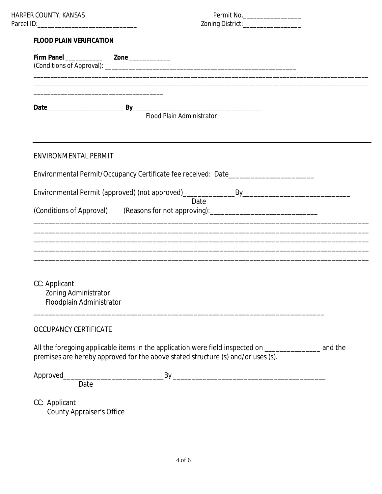## **FLOOD PLAIN VERIFICATION**

| <b>FLOOD PLAIN VERIFICATION</b>                                   |                                                                                                                                                                                                 |  |
|-------------------------------------------------------------------|-------------------------------------------------------------------------------------------------------------------------------------------------------------------------------------------------|--|
|                                                                   |                                                                                                                                                                                                 |  |
|                                                                   |                                                                                                                                                                                                 |  |
|                                                                   | Flood Plain Administrator                                                                                                                                                                       |  |
| <b>ENVIRONMENTAL PERMIT</b>                                       |                                                                                                                                                                                                 |  |
|                                                                   | Environmental Permit/Occupancy Certificate fee received: Date___________________                                                                                                                |  |
|                                                                   |                                                                                                                                                                                                 |  |
|                                                                   | Date<br>(Conditions of Approval) (Reasons for not approving): [19] (Conditions of Approval)                                                                                                     |  |
|                                                                   |                                                                                                                                                                                                 |  |
|                                                                   |                                                                                                                                                                                                 |  |
| CC: Applicant<br>Zoning Administrator<br>Floodplain Administrator |                                                                                                                                                                                                 |  |
| <b>OCCUPANCY CERTIFICATE</b>                                      |                                                                                                                                                                                                 |  |
|                                                                   | All the foregoing applicable items in the application were field inspected on _____________________ and the<br>premises are hereby approved for the above stated structure (s) and/or uses (s). |  |
| Date                                                              |                                                                                                                                                                                                 |  |
|                                                                   |                                                                                                                                                                                                 |  |
| CC: Applicant<br><b>County Appraiser's Office</b>                 |                                                                                                                                                                                                 |  |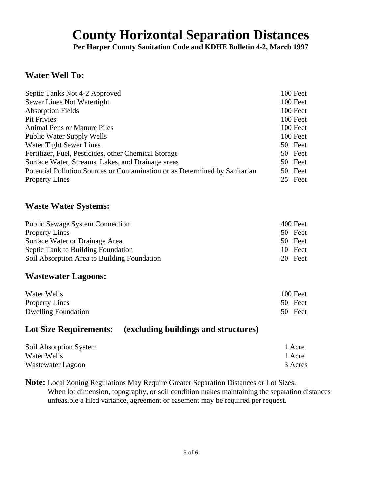# **County Horizontal Separation Distances**

**Per Harper County Sanitation Code and KDHE Bulletin 4-2, March 1997**

## **Water Well To:**

| Septic Tanks Not 4-2 Approved                                               | 100 Feet   |
|-----------------------------------------------------------------------------|------------|
| Sewer Lines Not Watertight                                                  | 100 Feet   |
| <b>Absorption Fields</b>                                                    | 100 Feet   |
| <b>Pit Privies</b>                                                          | 100 Feet   |
| <b>Animal Pens or Manure Piles</b>                                          | 100 Feet   |
| <b>Public Water Supply Wells</b>                                            | 100 Feet   |
| Water Tight Sewer Lines                                                     | 50 Feet    |
| Fertilizer, Fuel, Pesticides, other Chemical Storage                        | 50 Feet    |
| Surface Water, Streams, Lakes, and Drainage areas                           | Feet<br>50 |
| Potential Pollution Sources or Contamination or as Determined by Sanitarian | 50 Feet    |
| <b>Property Lines</b>                                                       | 25 Feet    |

### **Waste Water Systems:**

| <b>Public Sewage System Connection</b>      |    | 400 Feet |
|---------------------------------------------|----|----------|
| <b>Property Lines</b>                       |    | 50 Feet  |
| Surface Water or Drainage Area              |    | 50 Feet  |
| Septic Tank to Building Foundation          |    | 10 Feet  |
| Soil Absorption Area to Building Foundation | 20 | Feet     |

## **Wastewater Lagoons:**

| Water Wells                | 100 Feet |
|----------------------------|----------|
| <b>Property Lines</b>      | 50 Feet  |
| <b>Dwelling Foundation</b> | 50 Feet  |

## **Lot Size Requirements: (excluding buildings and structures)**

| Soil Absorption System | 1 Acre  |
|------------------------|---------|
| Water Wells            | 1 Acre  |
| Wastewater Lagoon      | 3 Acres |

**Note:** Local Zoning Regulations May Require Greater Separation Distances or Lot Sizes. When lot dimension, topography, or soil condition makes maintaining the separation distances unfeasible a filed variance, agreement or easement may be required per request.